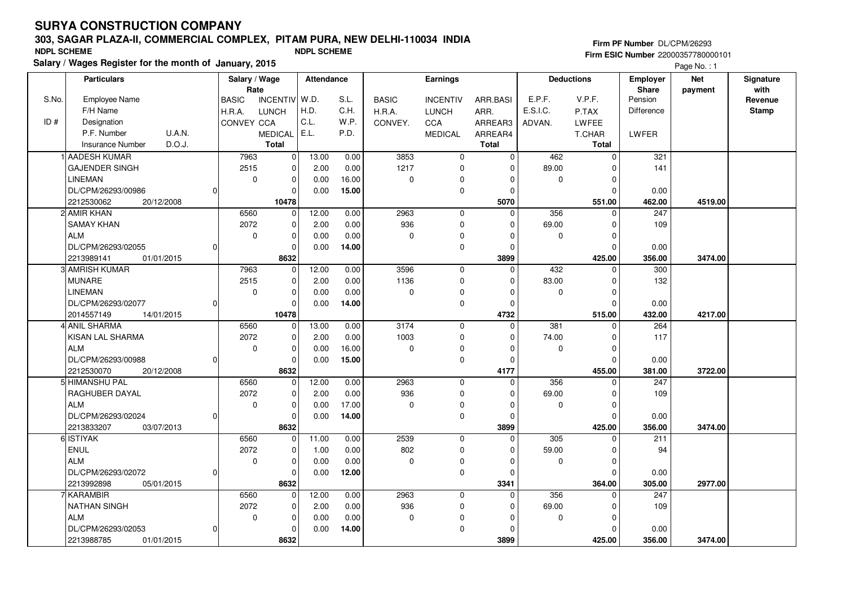# **303, SAGAR PLAZA-II, COMMERCIAL COMPLEX, PITAM PURA, NEW DELHI-110034 INDIASalary / Wages Register for the month of January, 2015 NDPL SCHEME NDPL SCHEME**

**Firm PF Number** DL/CPM/26293 **Firm ESIC Number** 22000357780000101

Page No. : 1

|       | <b>Particulars</b><br>Salary / Wage |                | Attendance<br><b>Earnings</b> |                 |               |              |              | <b>Deductions</b>          |                         | <b>Employer</b> | <b>Net</b>              | Signature         |         |                 |
|-------|-------------------------------------|----------------|-------------------------------|-----------------|---------------|--------------|--------------|----------------------------|-------------------------|-----------------|-------------------------|-------------------|---------|-----------------|
| S.No. | Employee Name                       |                | Rate<br><b>BASIC</b>          | <b>INCENTIV</b> | W.D.          | S.L.         | <b>BASIC</b> | <b>INCENTIV</b>            | ARR.BASI                | E.P.F.          | V.P.F.                  | Share<br>Pension  | payment | with<br>Revenue |
|       | F/H Name                            |                | H.R.A.                        | <b>LUNCH</b>    | H.D.          | C.H.         | H.R.A.       | <b>LUNCH</b>               | ARR.                    | E.S.I.C.        | P.TAX                   | <b>Difference</b> |         | <b>Stamp</b>    |
| ID#   | Designation                         |                | <b>CONVEY CCA</b>             |                 | C.L.          | W.P.         | CONVEY.      | <b>CCA</b>                 | ARREAR3                 | ADVAN.          | <b>LWFEE</b>            |                   |         |                 |
|       | U.A.N.<br>P.F. Number               |                |                               | <b>MEDICAL</b>  | E.L.          | P.D.         |              | <b>MEDICAL</b>             | ARREAR4                 |                 | T.CHAR                  | LWFER             |         |                 |
|       | D.O.J.<br><b>Insurance Number</b>   |                |                               | <b>Total</b>    |               |              |              |                            | <b>Total</b>            |                 | <b>Total</b>            |                   |         |                 |
|       | <b>AADESH KUMAR</b>                 |                | 7963                          | 0               | 13.00         | 0.00         | 3853         | $\mathbf 0$                | $\mathbf 0$             | 462             | $\mathbf 0$             | 321               |         |                 |
|       | <b>GAJENDER SINGH</b>               |                | 2515                          | 0               | 2.00          | 0.00         | 1217         | 0                          | 0                       | 89.00           | 0                       | 141               |         |                 |
|       | <b>LINEMAN</b>                      |                | $\mathbf 0$                   | 0               | 0.00          | 16.00        | $\pmb{0}$    | $\Omega$                   | 0                       | 0               | $\mathbf 0$             |                   |         |                 |
|       | DL/CPM/26293/00986                  | $\Omega$       |                               | 0               | 0.00          | 15.00        |              | $\mathbf 0$                | 0                       |                 | $\Omega$                | 0.00              |         |                 |
|       | 2212530062<br>20/12/2008            |                |                               | 10478           |               |              |              |                            | 5070                    |                 | 551.00                  | 462.00            | 4519.00 |                 |
|       | 2 AMIR KHAN                         |                | 6560                          | $\Omega$        | 12.00         | 0.00         | 2963         | $\mathbf 0$                | $\Omega$                | 356             | $\Omega$                | 247               |         |                 |
|       | <b>SAMAY KHAN</b>                   |                | 2072                          |                 |               |              | 936          |                            | $\Omega$                | 69.00           |                         | 109               |         |                 |
|       | <b>ALM</b>                          |                | $\mathbf 0$                   | 0               | 2.00<br>0.00  | 0.00<br>0.00 | $\mathbf 0$  | 0<br>$\Omega$              | $\Omega$                |                 | 0<br>$\Omega$           |                   |         |                 |
|       | DL/CPM/26293/02055                  | $\Omega$       |                               | 0<br>0          |               | 14.00        |              |                            | $\mathbf 0$             | 0               | $\mathbf 0$             |                   |         |                 |
|       |                                     |                |                               |                 | 0.00          |              |              | $\mathbf 0$                | 3899                    |                 |                         | 0.00              |         |                 |
|       | 2213989141<br>01/01/2015            |                |                               | 8632            |               |              | 3596         |                            | $\Omega$                |                 | 425.00                  | 356.00            | 3474.00 |                 |
|       | 3 AMRISH KUMAR<br><b>MUNARE</b>     |                | 7963                          | $\mathbf{0}$    | 12.00         | 0.00         | 1136         | $\mathbf 0$                |                         | 432             | $\mathbf 0$             | 300<br>132        |         |                 |
|       | <b>LINEMAN</b>                      |                | 2515                          | 0               | 2.00          | 0.00         |              | $\mathbf 0$                | $\Omega$                | 83.00           | $\mathbf 0$             |                   |         |                 |
|       |                                     |                | $\mathbf 0$                   | 0               | 0.00          | 0.00         | $\pmb{0}$    | 0                          | $\Omega$                | 0               | $\overline{0}$          |                   |         |                 |
|       | DL/CPM/26293/02077                  | 0              |                               | 0               | 0.00          | 14.00        |              | $\mathbf 0$                | 0                       |                 | $\Omega$                | 0.00              |         |                 |
|       | 2014557149<br>14/01/2015            |                |                               | 10478           |               |              | 3174         |                            | 4732<br>$\mathbf 0$     |                 | 515.00                  | 432.00            | 4217.00 |                 |
|       | I  ANIL SHARMA                      |                | 6560                          | 0               | 13.00         | 0.00         |              | $\mathbf 0$<br>$\mathbf 0$ | $\Omega$                | 381             | $\mathbf 0$<br>$\Omega$ | 264<br>117        |         |                 |
|       | <b>KISAN LAL SHARMA</b>             |                | 2072                          | 0               | 2.00          | 0.00         | 1003         |                            |                         | 74.00           |                         |                   |         |                 |
|       | <b>ALM</b>                          |                | $\mathbf 0$                   | 0               | 0.00          | 16.00        | $\mathbf 0$  | $\mathbf 0$                | $\Omega$                | 0               | $\mathbf 0$             |                   |         |                 |
|       | DL/CPM/26293/00988                  | $\overline{0}$ |                               | 0               | 0.00          | 15.00        |              | $\mathbf 0$                | $\mathbf 0$             |                 | $\Omega$                | 0.00              |         |                 |
|       | 2212530070<br>20/12/2008            |                |                               | 8632            |               |              |              |                            | 4177                    |                 | 455.00                  | 381.00<br>247     | 3722.00 |                 |
|       | 5 HIMANSHU PAL                      |                | 6560                          | 0               | 12.00<br>2.00 | 0.00         | 2963         | $\mathbf 0$                | $\mathbf 0$<br>$\Omega$ | 356             | $\Omega$                |                   |         |                 |
|       | <b>RAGHUBER DAYAL</b>               |                | 2072                          | 0               |               | 0.00         | 936          | $\mathbf 0$                |                         | 69.00           | $\mathbf 0$             | 109               |         |                 |
|       | <b>ALM</b>                          |                | $\mathbf 0$                   | 0               | 0.00          | 17.00        | $\mathbf 0$  | $\mathbf 0$                | $\mathbf 0$             | 0               | $\mathbf 0$             |                   |         |                 |
|       | DL/CPM/26293/02024                  | $\Omega$       |                               | 0               | 0.00          | 14.00        |              | 0                          | $\Omega$                |                 | $\Omega$                | 0.00              |         |                 |
|       | 2213833207<br>03/07/2013            |                |                               | 8632            |               |              |              |                            | 3899                    |                 | 425.00                  | 356.00            | 3474.00 |                 |
|       | 6 ISTIYAK                           |                | 6560                          | 0               | 11.00         | 0.00         | 2539         | $\mathbf 0$                | $\mathbf 0$             | 305             | 0                       | 211               |         |                 |
|       | <b>ENUL</b>                         |                | 2072                          | 0               | 1.00          | 0.00         | 802          | $\mathbf 0$                | $\Omega$                | 59.00           | $\mathbf 0$             | 94                |         |                 |
|       | <b>ALM</b>                          |                | $\mathbf 0$                   | 0               | 0.00          | 0.00         | $\mathbf 0$  | $\pmb{0}$                  | $\Omega$                | 0               | $\mathbf 0$             |                   |         |                 |
|       | DL/CPM/26293/02072                  | $\Omega$       |                               | $\Omega$        | 0.00          | 12.00        |              | $\mathbf 0$                | $\Omega$                |                 | $\Omega$                | 0.00              |         |                 |
|       | 2213992898<br>05/01/2015            |                |                               | 8632            |               |              |              |                            | 3341                    |                 | 364.00                  | 305.00            | 2977.00 |                 |
|       | 7 KARAMBIR                          |                | 6560                          | $\overline{0}$  | 12.00         | 0.00         | 2963         | $\mathbf 0$                | $\mathbf 0$             | 356             | $\Omega$                | 247               |         |                 |
|       | <b>NATHAN SINGH</b>                 |                | 2072                          | 0               | 2.00          | 0.00         | 936          | $\mathbf 0$                | $\Omega$                | 69.00           | $\Omega$                | 109               |         |                 |
|       | <b>ALM</b>                          |                | $\mathbf 0$                   | 0               | 0.00          | 0.00         | 0            | 0                          | 0                       | 0               | 0                       |                   |         |                 |
|       | DL/CPM/26293/02053                  | $\Omega$       |                               | 0               | 0.00          | 14.00        |              | $\Omega$                   | $\mathbf 0$             |                 | $\Omega$                | 0.00              |         |                 |
|       | 2213988785<br>01/01/2015            |                |                               | 8632            |               |              |              |                            | 3899                    |                 | 425.00                  | 356.00            | 3474.00 |                 |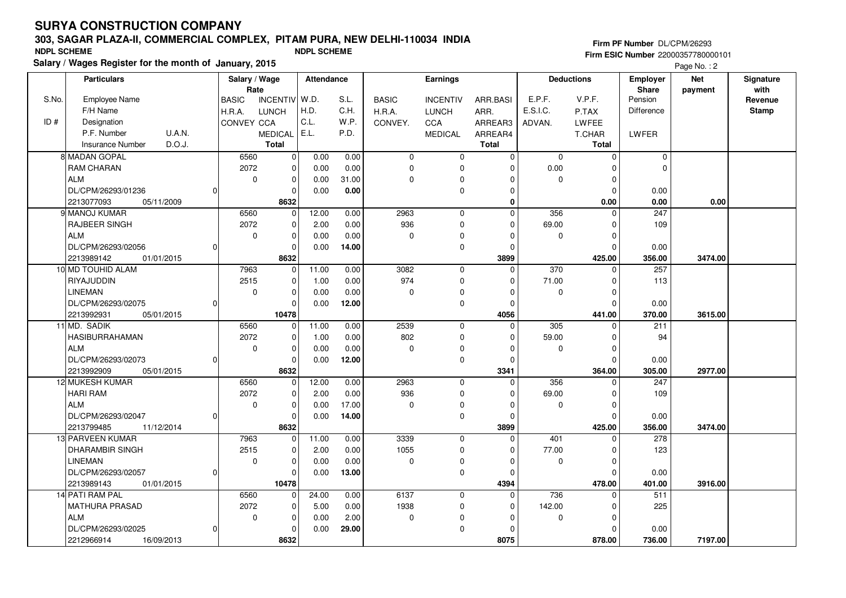# **303, SAGAR PLAZA-II, COMMERCIAL COMPLEX, PITAM PURA, NEW DELHI-110034 INDIASalary / Wages Register for the month of January, 2015 NDPL SCHEME NDPL SCHEME**

**Firm PF Number** DL/CPM/26293 **Firm ESIC Number** 22000357780000101

Page No.: 2

|       | <b>Particulars</b>                | Salary / Wage<br>Rate           | Attendance |       |              | <b>Earnings</b> |              | <b>Deductions</b> |              | <b>Employer</b><br><b>Share</b> | <b>Net</b><br>payment | Signature<br>with |
|-------|-----------------------------------|---------------------------------|------------|-------|--------------|-----------------|--------------|-------------------|--------------|---------------------------------|-----------------------|-------------------|
| S.No. | <b>Employee Name</b>              | <b>INCENTIV</b><br><b>BASIC</b> | W.D.       | S.L.  | <b>BASIC</b> | <b>INCENTIV</b> | ARR.BASI     | E.P.F.            | V.P.F.       | Pension                         |                       | Revenue           |
|       | F/H Name                          | <b>LUNCH</b><br>H.R.A.          | H.D.       | C.H.  | H.R.A.       | <b>LUNCH</b>    | ARR.         | E.S.I.C.          | P.TAX        | <b>Difference</b>               |                       | <b>Stamp</b>      |
| ID#   | Designation                       | CONVEY CCA                      | C.L.       | W.P.  | CONVEY.      | CCA             | ARREAR3      | ADVAN.            | LWFEE        |                                 |                       |                   |
|       | P.F. Number<br>U.A.N.             | <b>MEDICAL</b>                  | E.L.       | P.D.  |              | <b>MEDICAL</b>  | ARREAR4      |                   | T.CHAR       | LWFER                           |                       |                   |
|       | D.O.J.<br><b>Insurance Number</b> | <b>Total</b>                    |            |       |              |                 | <b>Total</b> |                   | <b>Total</b> |                                 |                       |                   |
|       | 8 MADAN GOPAL                     | 6560<br>$\mathbf{0}$            | 0.00       | 0.00  | $\mathbf 0$  | $\mathbf 0$     | $\Omega$     | $\mathbf 0$       | $\mathbf 0$  | $\mathbf 0$                     |                       |                   |
|       | <b>RAM CHARAN</b>                 | 2072<br>$\Omega$                | 0.00       | 0.00  | $\mathbf 0$  | $\mathbf 0$     | $\Omega$     | 0.00              | $\Omega$     | $\mathbf 0$                     |                       |                   |
|       | <b>ALM</b>                        | $\mathbf 0$<br>$\Omega$         | 0.00       | 31.00 | $\mathbf 0$  | $\mathbf 0$     | $\mathbf 0$  | $\mathbf 0$       | $\mathbf 0$  |                                 |                       |                   |
|       | DL/CPM/26293/01236<br>$\Omega$    | ∩                               | 0.00       | 0.00  |              | $\mathbf 0$     | $\Omega$     |                   | $\Omega$     | 0.00                            |                       |                   |
|       | 2213077093<br>05/11/2009          | 8632                            |            |       |              |                 | $\mathbf 0$  |                   | 0.00         | 0.00                            | 0.00                  |                   |
|       | 9 MANOJ KUMAR                     | 6560<br>$\Omega$                | 12.00      | 0.00  | 2963         | $\mathbf 0$     | $\Omega$     | 356               | $\Omega$     | 247                             |                       |                   |
|       | RAJBEER SINGH                     | 2072<br>$\Omega$                | 2.00       | 0.00  | 936          | $\mathbf 0$     | $\Omega$     | 69.00             | $\Omega$     | 109                             |                       |                   |
|       | <b>ALM</b>                        | 0<br>$\Omega$                   | 0.00       | 0.00  | 0            | $\mathbf 0$     | $\Omega$     | 0                 | $\mathbf 0$  |                                 |                       |                   |
|       | DL/CPM/26293/02056<br>0           |                                 | 0.00       | 14.00 |              | $\mathbf 0$     | $\Omega$     |                   | $\mathbf 0$  | 0.00                            |                       |                   |
|       | 01/01/2015<br>2213989142          | 8632                            |            |       |              |                 | 3899         |                   | 425.00       | 356.00                          | 3474.00               |                   |
|       | 10 MD TOUHID ALAM                 | 7963                            | 11.00      | 0.00  | 3082         | $\mathbf 0$     | $\Omega$     | 370               | $\Omega$     | 257                             |                       |                   |
|       | RIYAJUDDIN                        | 2515<br>$\Omega$                | 1.00       | 0.00  | 974          | 0               | $\mathbf 0$  | 71.00             | 0            | 113                             |                       |                   |
|       | <b>LINEMAN</b>                    | $\mathbf 0$<br>$\Omega$         | 0.00       | 0.00  | $\mathbf 0$  | $\mathbf 0$     | $\Omega$     | $\mathbf 0$       | $\mathbf 0$  |                                 |                       |                   |
|       | DL/CPM/26293/02075<br> 0          |                                 | 0.00       | 12.00 |              | 0               | $\mathbf 0$  |                   | $\Omega$     | 0.00                            |                       |                   |
|       | 2213992931<br>05/01/2015          | 10478                           |            |       |              |                 | 4056         |                   | 441.00       | 370.00                          | 3615.00               |                   |
|       | 11 MD. SADIK                      | 6560<br>$\Omega$                | 11.00      | 0.00  | 2539         | 0               | $\Omega$     | 305               | $\mathbf 0$  | 211                             |                       |                   |
|       | HASIBURRAHAMAN                    | 2072<br>$\Omega$                | 1.00       | 0.00  | 802          | $\mathbf 0$     | $\Omega$     | 59.00             | $\mathbf 0$  | 94                              |                       |                   |
|       | <b>ALM</b>                        | 0<br>$\Omega$                   | 0.00       | 0.00  | $\Omega$     | $\mathbf 0$     | $\Omega$     | 0                 | $\Omega$     |                                 |                       |                   |
|       | DL/CPM/26293/02073<br>0l          | $\Omega$                        | 0.00       | 12.00 |              | $\mathbf 0$     | $\Omega$     |                   | $\Omega$     | 0.00                            |                       |                   |
|       | 2213992909<br>05/01/2015          | 8632                            |            |       |              |                 | 3341         |                   | 364.00       | 305.00                          | 2977.00               |                   |
|       | 12 MUKESH KUMAR                   | 6560<br>$\Omega$                | 12.00      | 0.00  | 2963         | 0               | $\Omega$     | 356               | 0            | 247                             |                       |                   |
|       | <b>HARI RAM</b>                   | 2072<br>$\Omega$                | 2.00       | 0.00  | 936          | 0               | $\Omega$     | 69.00             | $\mathbf 0$  | 109                             |                       |                   |
|       | <b>ALM</b>                        | 0<br>$\Omega$                   | 0.00       | 17.00 | $\mathbf 0$  | 0               | $\Omega$     | 0                 | $\mathbf 0$  |                                 |                       |                   |
|       | DL/CPM/26293/02047<br> 0          | $\Omega$                        | 0.00       | 14.00 |              | 0               | $\Omega$     |                   | $\Omega$     | 0.00                            |                       |                   |
|       | 2213799485<br>11/12/2014          | 8632                            |            |       |              |                 | 3899         |                   | 425.00       | 356.00                          | 3474.00               |                   |
|       | 13 PARVEEN KUMAR                  | 7963<br>$\Omega$                | 11.00      | 0.00  | 3339         | $\mathbf 0$     | $\Omega$     | 401               | $\mathbf 0$  | 278                             |                       |                   |
|       | <b>DHARAMBIR SINGH</b>            | 2515<br>$\Omega$                | 2.00       | 0.00  | 1055         | 0               | $\Omega$     | 77.00             | $\Omega$     | 123                             |                       |                   |
|       | <b>LINEMAN</b>                    | 0<br>$\Omega$                   | 0.00       | 0.00  | $\Omega$     | $\mathbf 0$     | $\Omega$     | $\mathbf 0$       | $\Omega$     |                                 |                       |                   |
|       | DL/CPM/26293/02057<br>0           | $\Omega$                        | 0.00       | 13.00 |              | 0               | $\Omega$     |                   | $\Omega$     | 0.00                            |                       |                   |
|       | 2213989143<br>01/01/2015          | 10478                           |            |       |              |                 | 4394         |                   | 478.00       | 401.00                          | 3916.00               |                   |
|       | 14 PATI RAM PAL                   | 6560<br>$\Omega$                | 24.00      | 0.00  | 6137         | 0               | $\mathbf 0$  | 736               | $\Omega$     | 511                             |                       |                   |
|       | <b>MATHURA PRASAD</b>             | 2072<br>$\Omega$                | 5.00       | 0.00  | 1938         | 0               | $\Omega$     | 142.00            | $\mathbf 0$  | 225                             |                       |                   |
|       | <b>ALM</b>                        | $\mathbf 0$<br>$\Omega$         | 0.00       | 2.00  | $\mathbf 0$  | $\mathbf 0$     | $\Omega$     | 0                 | $\Omega$     |                                 |                       |                   |
|       | DL/CPM/26293/02025<br> 0          | <sup>0</sup>                    | 0.00       | 29.00 |              | 0               | O            |                   | $\Omega$     | 0.00                            |                       |                   |
|       | 2212966914<br>16/09/2013          | 8632                            |            |       |              |                 | 8075         |                   | 878.00       | 736.00                          | 7197.00               |                   |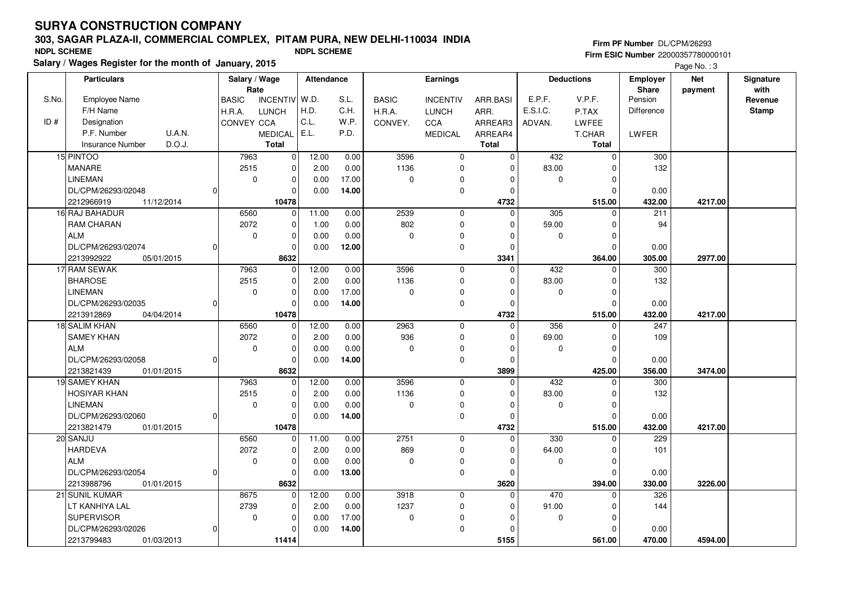# **303, SAGAR PLAZA-II, COMMERCIAL COMPLEX, PITAM PURA, NEW DELHI-110034 INDIASalary / Wages Register for the month of January, 2015 NDPL SCHEME NDPL SCHEME**

**Firm PF Number** DL/CPM/26293 **Firm ESIC Number** 22000357780000101

Page No. : 3

| with<br>Rate<br><b>Share</b><br>payment<br>V.P.F.<br>S.No.<br>Employee Name<br>W.D.<br>S.L.<br>E.P.F.<br>Pension<br><b>BASIC</b><br><b>INCENTIV</b><br><b>BASIC</b><br><b>INCENTIV</b><br>ARR.BASI<br>Revenue<br>H.D.<br>C.H.<br>E.S.I.C.<br>F/H Name<br><b>Difference</b><br><b>Stamp</b><br>H.R.A.<br><b>LUNCH</b><br>H.R.A.<br><b>LUNCH</b><br>ARR.<br>P.TAX<br>C.L.<br>ID#<br>Designation<br>CONVEY CCA<br>W.P.<br>CCA<br>ARREAR3<br>CONVEY.<br>ADVAN.<br>LWFEE<br>P.F. Number<br>E.L.<br><b>U.A.N.</b><br>P.D.<br><b>MEDICAL</b><br><b>MEDICAL</b><br>LWFER<br>ARREAR4<br>T.CHAR<br>D.O.J.<br><b>Total</b><br><b>Total</b><br><b>Total</b><br><b>Insurance Number</b><br>3596<br>15 PINTOO<br>7963<br>12.00<br>432<br>300<br>$\mathbf 0$<br>0.00<br>$\mathbf 0$<br>$\mathbf 0$<br>$\mathbf 0$<br>MANARE<br>2515<br>2.00<br>0.00<br>1136<br>83.00<br>132<br>$\mathbf 0$<br>$\mathbf 0$<br>$\mathbf 0$<br>$\Omega$<br><b>LINEMAN</b><br>$\mathbf 0$<br>17.00<br>$\overline{0}$<br>$\mathbf 0$<br>$\mathbf 0$<br>0.00<br>$\mathbf 0$<br>$\mathbf 0$<br>$\Omega$<br>DL/CPM/26293/02048<br>0.00<br>14.00<br>$\mathbf 0$<br>$\Omega$<br>0.00<br>$\Omega$<br>$\Omega$<br>$\Omega$<br>2212966919<br>11/12/2014<br>10478<br>4732<br>515.00<br>432.00<br>4217.00<br>16 RAJ BAHADUR<br>6560<br>11.00<br>2539<br>305<br>$\mathbf 0$<br>0.00<br>$\mathbf 0$<br>$\Omega$<br>211<br>0<br><b>RAM CHARAN</b><br>2072<br>$\mathbf{0}$<br>1.00<br>0.00<br>802<br>$\mathbf 0$<br>59.00<br>$\Omega$<br>94<br>$\Omega$<br>ALM<br>$\mathbf 0$<br>$\mathbf 0$<br>0.00<br>$\Omega$<br>0.00<br>0<br>$\mathbf 0$<br>$\Omega$<br>O<br>DL/CPM/26293/02074<br>0.00<br>12.00<br>$\mathbf 0$<br>$\mathbf 0$<br>$\Omega$<br>0.00<br>$\Omega$<br><sup>n</sup><br>8632<br>2213992922<br>3341<br>364.00<br>305.00<br>2977.00<br>05/01/2015<br>17 RAM SEWAK<br>7963<br>12.00<br>0.00<br>3596<br>432<br>0<br>300<br>$\mathbf 0$<br>$\Omega$<br>0<br>1136<br><b>BHAROSE</b><br>2515<br>$\mathbf 0$<br>2.00<br>0.00<br>$\mathbf 0$<br>83.00<br>$\mathbf 0$<br>132<br>$\Omega$<br>17.00<br><b>LINEMAN</b><br>$\mathbf 0$<br>0<br>0.00<br>$\mathbf 0$<br>$\mathbf 0$<br>$\mathbf 0$<br>0<br>$\Omega$<br>DL/CPM/26293/02035<br>0.00<br>14.00<br>$\Omega$<br>0l<br>$\overline{0}$<br>0<br>$\Omega$<br>0.00<br>2213912869<br>04/04/2014<br>10478<br>4732<br>515.00<br>432.00<br>4217.00<br>2963<br>18 SALIM KHAN<br>6560<br>12.00<br>0.00<br>356<br>247<br>$\mathbf{0}$<br>$\mathbf 0$<br>$\Omega$<br>$\Omega$<br>936<br><b>SAMEY KHAN</b><br>2072<br>$\mathbf{0}$<br>2.00<br>0.00<br>$\mathbf 0$<br>69.00<br>109<br>$\mathbf 0$<br>$\Omega$<br><b>ALM</b><br>0.00<br>$\mathbf 0$<br>$\mathbf 0$<br>0<br>0.00<br>$\mathbf 0$<br>0<br>0<br>0<br>DL/CPM/26293/02058<br>0.00<br>14.00<br>$\mathbf 0$<br>$\Omega$<br>$\mathbf 0$<br>0.00<br>0l<br>$\Omega$<br>2213821439<br>8632<br>3899<br>356.00<br>3474.00<br>01/01/2015<br>425.00<br>19 SAMEY KHAN<br>7963<br>12.00<br>0.00<br>3596<br>432<br>$\Omega$<br>$\Omega$<br>300<br>$\Omega$<br>0 |
|----------------------------------------------------------------------------------------------------------------------------------------------------------------------------------------------------------------------------------------------------------------------------------------------------------------------------------------------------------------------------------------------------------------------------------------------------------------------------------------------------------------------------------------------------------------------------------------------------------------------------------------------------------------------------------------------------------------------------------------------------------------------------------------------------------------------------------------------------------------------------------------------------------------------------------------------------------------------------------------------------------------------------------------------------------------------------------------------------------------------------------------------------------------------------------------------------------------------------------------------------------------------------------------------------------------------------------------------------------------------------------------------------------------------------------------------------------------------------------------------------------------------------------------------------------------------------------------------------------------------------------------------------------------------------------------------------------------------------------------------------------------------------------------------------------------------------------------------------------------------------------------------------------------------------------------------------------------------------------------------------------------------------------------------------------------------------------------------------------------------------------------------------------------------------------------------------------------------------------------------------------------------------------------------------------------------------------------------------------------------------------------------------------------------------------------------------------------------------------------------------------------------------------------------------------------------------------------------------------------------------------------------------------------------------------------------------------------------------------------------------------------------------------------------------------------------------------------------------------------------------------------------------------------------------------------------------------------------------------------------------|
|                                                                                                                                                                                                                                                                                                                                                                                                                                                                                                                                                                                                                                                                                                                                                                                                                                                                                                                                                                                                                                                                                                                                                                                                                                                                                                                                                                                                                                                                                                                                                                                                                                                                                                                                                                                                                                                                                                                                                                                                                                                                                                                                                                                                                                                                                                                                                                                                                                                                                                                                                                                                                                                                                                                                                                                                                                                                                                                                                                                                    |
|                                                                                                                                                                                                                                                                                                                                                                                                                                                                                                                                                                                                                                                                                                                                                                                                                                                                                                                                                                                                                                                                                                                                                                                                                                                                                                                                                                                                                                                                                                                                                                                                                                                                                                                                                                                                                                                                                                                                                                                                                                                                                                                                                                                                                                                                                                                                                                                                                                                                                                                                                                                                                                                                                                                                                                                                                                                                                                                                                                                                    |
|                                                                                                                                                                                                                                                                                                                                                                                                                                                                                                                                                                                                                                                                                                                                                                                                                                                                                                                                                                                                                                                                                                                                                                                                                                                                                                                                                                                                                                                                                                                                                                                                                                                                                                                                                                                                                                                                                                                                                                                                                                                                                                                                                                                                                                                                                                                                                                                                                                                                                                                                                                                                                                                                                                                                                                                                                                                                                                                                                                                                    |
|                                                                                                                                                                                                                                                                                                                                                                                                                                                                                                                                                                                                                                                                                                                                                                                                                                                                                                                                                                                                                                                                                                                                                                                                                                                                                                                                                                                                                                                                                                                                                                                                                                                                                                                                                                                                                                                                                                                                                                                                                                                                                                                                                                                                                                                                                                                                                                                                                                                                                                                                                                                                                                                                                                                                                                                                                                                                                                                                                                                                    |
|                                                                                                                                                                                                                                                                                                                                                                                                                                                                                                                                                                                                                                                                                                                                                                                                                                                                                                                                                                                                                                                                                                                                                                                                                                                                                                                                                                                                                                                                                                                                                                                                                                                                                                                                                                                                                                                                                                                                                                                                                                                                                                                                                                                                                                                                                                                                                                                                                                                                                                                                                                                                                                                                                                                                                                                                                                                                                                                                                                                                    |
|                                                                                                                                                                                                                                                                                                                                                                                                                                                                                                                                                                                                                                                                                                                                                                                                                                                                                                                                                                                                                                                                                                                                                                                                                                                                                                                                                                                                                                                                                                                                                                                                                                                                                                                                                                                                                                                                                                                                                                                                                                                                                                                                                                                                                                                                                                                                                                                                                                                                                                                                                                                                                                                                                                                                                                                                                                                                                                                                                                                                    |
|                                                                                                                                                                                                                                                                                                                                                                                                                                                                                                                                                                                                                                                                                                                                                                                                                                                                                                                                                                                                                                                                                                                                                                                                                                                                                                                                                                                                                                                                                                                                                                                                                                                                                                                                                                                                                                                                                                                                                                                                                                                                                                                                                                                                                                                                                                                                                                                                                                                                                                                                                                                                                                                                                                                                                                                                                                                                                                                                                                                                    |
|                                                                                                                                                                                                                                                                                                                                                                                                                                                                                                                                                                                                                                                                                                                                                                                                                                                                                                                                                                                                                                                                                                                                                                                                                                                                                                                                                                                                                                                                                                                                                                                                                                                                                                                                                                                                                                                                                                                                                                                                                                                                                                                                                                                                                                                                                                                                                                                                                                                                                                                                                                                                                                                                                                                                                                                                                                                                                                                                                                                                    |
|                                                                                                                                                                                                                                                                                                                                                                                                                                                                                                                                                                                                                                                                                                                                                                                                                                                                                                                                                                                                                                                                                                                                                                                                                                                                                                                                                                                                                                                                                                                                                                                                                                                                                                                                                                                                                                                                                                                                                                                                                                                                                                                                                                                                                                                                                                                                                                                                                                                                                                                                                                                                                                                                                                                                                                                                                                                                                                                                                                                                    |
|                                                                                                                                                                                                                                                                                                                                                                                                                                                                                                                                                                                                                                                                                                                                                                                                                                                                                                                                                                                                                                                                                                                                                                                                                                                                                                                                                                                                                                                                                                                                                                                                                                                                                                                                                                                                                                                                                                                                                                                                                                                                                                                                                                                                                                                                                                                                                                                                                                                                                                                                                                                                                                                                                                                                                                                                                                                                                                                                                                                                    |
|                                                                                                                                                                                                                                                                                                                                                                                                                                                                                                                                                                                                                                                                                                                                                                                                                                                                                                                                                                                                                                                                                                                                                                                                                                                                                                                                                                                                                                                                                                                                                                                                                                                                                                                                                                                                                                                                                                                                                                                                                                                                                                                                                                                                                                                                                                                                                                                                                                                                                                                                                                                                                                                                                                                                                                                                                                                                                                                                                                                                    |
|                                                                                                                                                                                                                                                                                                                                                                                                                                                                                                                                                                                                                                                                                                                                                                                                                                                                                                                                                                                                                                                                                                                                                                                                                                                                                                                                                                                                                                                                                                                                                                                                                                                                                                                                                                                                                                                                                                                                                                                                                                                                                                                                                                                                                                                                                                                                                                                                                                                                                                                                                                                                                                                                                                                                                                                                                                                                                                                                                                                                    |
|                                                                                                                                                                                                                                                                                                                                                                                                                                                                                                                                                                                                                                                                                                                                                                                                                                                                                                                                                                                                                                                                                                                                                                                                                                                                                                                                                                                                                                                                                                                                                                                                                                                                                                                                                                                                                                                                                                                                                                                                                                                                                                                                                                                                                                                                                                                                                                                                                                                                                                                                                                                                                                                                                                                                                                                                                                                                                                                                                                                                    |
|                                                                                                                                                                                                                                                                                                                                                                                                                                                                                                                                                                                                                                                                                                                                                                                                                                                                                                                                                                                                                                                                                                                                                                                                                                                                                                                                                                                                                                                                                                                                                                                                                                                                                                                                                                                                                                                                                                                                                                                                                                                                                                                                                                                                                                                                                                                                                                                                                                                                                                                                                                                                                                                                                                                                                                                                                                                                                                                                                                                                    |
|                                                                                                                                                                                                                                                                                                                                                                                                                                                                                                                                                                                                                                                                                                                                                                                                                                                                                                                                                                                                                                                                                                                                                                                                                                                                                                                                                                                                                                                                                                                                                                                                                                                                                                                                                                                                                                                                                                                                                                                                                                                                                                                                                                                                                                                                                                                                                                                                                                                                                                                                                                                                                                                                                                                                                                                                                                                                                                                                                                                                    |
|                                                                                                                                                                                                                                                                                                                                                                                                                                                                                                                                                                                                                                                                                                                                                                                                                                                                                                                                                                                                                                                                                                                                                                                                                                                                                                                                                                                                                                                                                                                                                                                                                                                                                                                                                                                                                                                                                                                                                                                                                                                                                                                                                                                                                                                                                                                                                                                                                                                                                                                                                                                                                                                                                                                                                                                                                                                                                                                                                                                                    |
|                                                                                                                                                                                                                                                                                                                                                                                                                                                                                                                                                                                                                                                                                                                                                                                                                                                                                                                                                                                                                                                                                                                                                                                                                                                                                                                                                                                                                                                                                                                                                                                                                                                                                                                                                                                                                                                                                                                                                                                                                                                                                                                                                                                                                                                                                                                                                                                                                                                                                                                                                                                                                                                                                                                                                                                                                                                                                                                                                                                                    |
|                                                                                                                                                                                                                                                                                                                                                                                                                                                                                                                                                                                                                                                                                                                                                                                                                                                                                                                                                                                                                                                                                                                                                                                                                                                                                                                                                                                                                                                                                                                                                                                                                                                                                                                                                                                                                                                                                                                                                                                                                                                                                                                                                                                                                                                                                                                                                                                                                                                                                                                                                                                                                                                                                                                                                                                                                                                                                                                                                                                                    |
|                                                                                                                                                                                                                                                                                                                                                                                                                                                                                                                                                                                                                                                                                                                                                                                                                                                                                                                                                                                                                                                                                                                                                                                                                                                                                                                                                                                                                                                                                                                                                                                                                                                                                                                                                                                                                                                                                                                                                                                                                                                                                                                                                                                                                                                                                                                                                                                                                                                                                                                                                                                                                                                                                                                                                                                                                                                                                                                                                                                                    |
|                                                                                                                                                                                                                                                                                                                                                                                                                                                                                                                                                                                                                                                                                                                                                                                                                                                                                                                                                                                                                                                                                                                                                                                                                                                                                                                                                                                                                                                                                                                                                                                                                                                                                                                                                                                                                                                                                                                                                                                                                                                                                                                                                                                                                                                                                                                                                                                                                                                                                                                                                                                                                                                                                                                                                                                                                                                                                                                                                                                                    |
|                                                                                                                                                                                                                                                                                                                                                                                                                                                                                                                                                                                                                                                                                                                                                                                                                                                                                                                                                                                                                                                                                                                                                                                                                                                                                                                                                                                                                                                                                                                                                                                                                                                                                                                                                                                                                                                                                                                                                                                                                                                                                                                                                                                                                                                                                                                                                                                                                                                                                                                                                                                                                                                                                                                                                                                                                                                                                                                                                                                                    |
|                                                                                                                                                                                                                                                                                                                                                                                                                                                                                                                                                                                                                                                                                                                                                                                                                                                                                                                                                                                                                                                                                                                                                                                                                                                                                                                                                                                                                                                                                                                                                                                                                                                                                                                                                                                                                                                                                                                                                                                                                                                                                                                                                                                                                                                                                                                                                                                                                                                                                                                                                                                                                                                                                                                                                                                                                                                                                                                                                                                                    |
|                                                                                                                                                                                                                                                                                                                                                                                                                                                                                                                                                                                                                                                                                                                                                                                                                                                                                                                                                                                                                                                                                                                                                                                                                                                                                                                                                                                                                                                                                                                                                                                                                                                                                                                                                                                                                                                                                                                                                                                                                                                                                                                                                                                                                                                                                                                                                                                                                                                                                                                                                                                                                                                                                                                                                                                                                                                                                                                                                                                                    |
|                                                                                                                                                                                                                                                                                                                                                                                                                                                                                                                                                                                                                                                                                                                                                                                                                                                                                                                                                                                                                                                                                                                                                                                                                                                                                                                                                                                                                                                                                                                                                                                                                                                                                                                                                                                                                                                                                                                                                                                                                                                                                                                                                                                                                                                                                                                                                                                                                                                                                                                                                                                                                                                                                                                                                                                                                                                                                                                                                                                                    |
|                                                                                                                                                                                                                                                                                                                                                                                                                                                                                                                                                                                                                                                                                                                                                                                                                                                                                                                                                                                                                                                                                                                                                                                                                                                                                                                                                                                                                                                                                                                                                                                                                                                                                                                                                                                                                                                                                                                                                                                                                                                                                                                                                                                                                                                                                                                                                                                                                                                                                                                                                                                                                                                                                                                                                                                                                                                                                                                                                                                                    |
|                                                                                                                                                                                                                                                                                                                                                                                                                                                                                                                                                                                                                                                                                                                                                                                                                                                                                                                                                                                                                                                                                                                                                                                                                                                                                                                                                                                                                                                                                                                                                                                                                                                                                                                                                                                                                                                                                                                                                                                                                                                                                                                                                                                                                                                                                                                                                                                                                                                                                                                                                                                                                                                                                                                                                                                                                                                                                                                                                                                                    |
| 2515<br>1136<br>83.00<br>132<br><b>HOSIYAR KHAN</b><br>2.00<br>0.00<br>0<br>$\mathbf 0$<br>0<br>0<br>0.00<br>$\Omega$<br>$\Omega$                                                                                                                                                                                                                                                                                                                                                                                                                                                                                                                                                                                                                                                                                                                                                                                                                                                                                                                                                                                                                                                                                                                                                                                                                                                                                                                                                                                                                                                                                                                                                                                                                                                                                                                                                                                                                                                                                                                                                                                                                                                                                                                                                                                                                                                                                                                                                                                                                                                                                                                                                                                                                                                                                                                                                                                                                                                                  |
| <b>LINEMAN</b><br>$\mathbf 0$<br>0<br>0.00<br>$\mathbf 0$<br>$\mathbf 0$<br>$\Omega$<br>DL/CPM/26293/02060<br>14.00<br>$\mathbf 0$<br>$\Omega$<br>$\mathbf 0$<br>0.00<br>0.00<br>0l<br>$\Omega$                                                                                                                                                                                                                                                                                                                                                                                                                                                                                                                                                                                                                                                                                                                                                                                                                                                                                                                                                                                                                                                                                                                                                                                                                                                                                                                                                                                                                                                                                                                                                                                                                                                                                                                                                                                                                                                                                                                                                                                                                                                                                                                                                                                                                                                                                                                                                                                                                                                                                                                                                                                                                                                                                                                                                                                                    |
| 2213821479<br>01/01/2015<br>10478<br>4732<br>432.00<br>4217.00<br>515.00                                                                                                                                                                                                                                                                                                                                                                                                                                                                                                                                                                                                                                                                                                                                                                                                                                                                                                                                                                                                                                                                                                                                                                                                                                                                                                                                                                                                                                                                                                                                                                                                                                                                                                                                                                                                                                                                                                                                                                                                                                                                                                                                                                                                                                                                                                                                                                                                                                                                                                                                                                                                                                                                                                                                                                                                                                                                                                                           |
| 2751<br>20 SANJU<br>6560<br>11.00<br>0.00<br>330<br>229<br>0<br>$\mathbf 0$<br>$\Omega$<br>$\Omega$                                                                                                                                                                                                                                                                                                                                                                                                                                                                                                                                                                                                                                                                                                                                                                                                                                                                                                                                                                                                                                                                                                                                                                                                                                                                                                                                                                                                                                                                                                                                                                                                                                                                                                                                                                                                                                                                                                                                                                                                                                                                                                                                                                                                                                                                                                                                                                                                                                                                                                                                                                                                                                                                                                                                                                                                                                                                                                |
| 2072<br>869<br><b>HARDEVA</b><br>2.00<br>0.00<br>64.00<br>$\mathbf 0$<br>0<br>$\mathbf 0$<br>101<br>$\Omega$                                                                                                                                                                                                                                                                                                                                                                                                                                                                                                                                                                                                                                                                                                                                                                                                                                                                                                                                                                                                                                                                                                                                                                                                                                                                                                                                                                                                                                                                                                                                                                                                                                                                                                                                                                                                                                                                                                                                                                                                                                                                                                                                                                                                                                                                                                                                                                                                                                                                                                                                                                                                                                                                                                                                                                                                                                                                                       |
| <b>ALM</b><br>0.00<br>$\mathbf 0$<br>$\mathbf 0$<br>0.00<br>$\mathbf 0$<br>$\mathbf 0$<br>$\Omega$<br>$\mathbf 0$<br>$\Omega$                                                                                                                                                                                                                                                                                                                                                                                                                                                                                                                                                                                                                                                                                                                                                                                                                                                                                                                                                                                                                                                                                                                                                                                                                                                                                                                                                                                                                                                                                                                                                                                                                                                                                                                                                                                                                                                                                                                                                                                                                                                                                                                                                                                                                                                                                                                                                                                                                                                                                                                                                                                                                                                                                                                                                                                                                                                                      |
| DL/CPM/26293/02054<br>13.00<br>$\mathbf 0$<br>$\mathbf 0$<br>0.00<br>$\Omega$<br>0.00<br>$\Omega$<br>$\Omega$                                                                                                                                                                                                                                                                                                                                                                                                                                                                                                                                                                                                                                                                                                                                                                                                                                                                                                                                                                                                                                                                                                                                                                                                                                                                                                                                                                                                                                                                                                                                                                                                                                                                                                                                                                                                                                                                                                                                                                                                                                                                                                                                                                                                                                                                                                                                                                                                                                                                                                                                                                                                                                                                                                                                                                                                                                                                                      |
| 8632<br>3620<br>394.00<br>330.00<br>3226.00<br>2213988796<br>01/01/2015                                                                                                                                                                                                                                                                                                                                                                                                                                                                                                                                                                                                                                                                                                                                                                                                                                                                                                                                                                                                                                                                                                                                                                                                                                                                                                                                                                                                                                                                                                                                                                                                                                                                                                                                                                                                                                                                                                                                                                                                                                                                                                                                                                                                                                                                                                                                                                                                                                                                                                                                                                                                                                                                                                                                                                                                                                                                                                                            |
| 21 SUNIL KUMAR<br>8675<br>12.00<br>0.00<br>3918<br>470<br>326<br>$\overline{0}$<br>$\mathbf 0$<br>$\Omega$<br>$\Omega$                                                                                                                                                                                                                                                                                                                                                                                                                                                                                                                                                                                                                                                                                                                                                                                                                                                                                                                                                                                                                                                                                                                                                                                                                                                                                                                                                                                                                                                                                                                                                                                                                                                                                                                                                                                                                                                                                                                                                                                                                                                                                                                                                                                                                                                                                                                                                                                                                                                                                                                                                                                                                                                                                                                                                                                                                                                                             |
| 1237<br>2739<br>2.00<br>0.00<br>91.00<br>144<br>LT KANHIYA LAL<br>0<br>0<br>$\Omega$<br>0                                                                                                                                                                                                                                                                                                                                                                                                                                                                                                                                                                                                                                                                                                                                                                                                                                                                                                                                                                                                                                                                                                                                                                                                                                                                                                                                                                                                                                                                                                                                                                                                                                                                                                                                                                                                                                                                                                                                                                                                                                                                                                                                                                                                                                                                                                                                                                                                                                                                                                                                                                                                                                                                                                                                                                                                                                                                                                          |
| <b>SUPERVISOR</b><br>17.00<br>$\mathbf 0$<br>$\mathbf 0$<br>0.00<br>$\mathbf 0$<br>$\mathbf 0$<br>$\mathbf 0$<br>$\Omega$<br>O                                                                                                                                                                                                                                                                                                                                                                                                                                                                                                                                                                                                                                                                                                                                                                                                                                                                                                                                                                                                                                                                                                                                                                                                                                                                                                                                                                                                                                                                                                                                                                                                                                                                                                                                                                                                                                                                                                                                                                                                                                                                                                                                                                                                                                                                                                                                                                                                                                                                                                                                                                                                                                                                                                                                                                                                                                                                     |
| 14.00<br>$\pmb{0}$<br>DL/CPM/26293/02026<br>0<br>0.00<br>$\Omega$<br>0.00<br> 0 <br>$\Omega$                                                                                                                                                                                                                                                                                                                                                                                                                                                                                                                                                                                                                                                                                                                                                                                                                                                                                                                                                                                                                                                                                                                                                                                                                                                                                                                                                                                                                                                                                                                                                                                                                                                                                                                                                                                                                                                                                                                                                                                                                                                                                                                                                                                                                                                                                                                                                                                                                                                                                                                                                                                                                                                                                                                                                                                                                                                                                                       |
| 2213799483<br>01/03/2013<br>11414<br>5155<br>561.00<br>470.00<br>4594.00                                                                                                                                                                                                                                                                                                                                                                                                                                                                                                                                                                                                                                                                                                                                                                                                                                                                                                                                                                                                                                                                                                                                                                                                                                                                                                                                                                                                                                                                                                                                                                                                                                                                                                                                                                                                                                                                                                                                                                                                                                                                                                                                                                                                                                                                                                                                                                                                                                                                                                                                                                                                                                                                                                                                                                                                                                                                                                                           |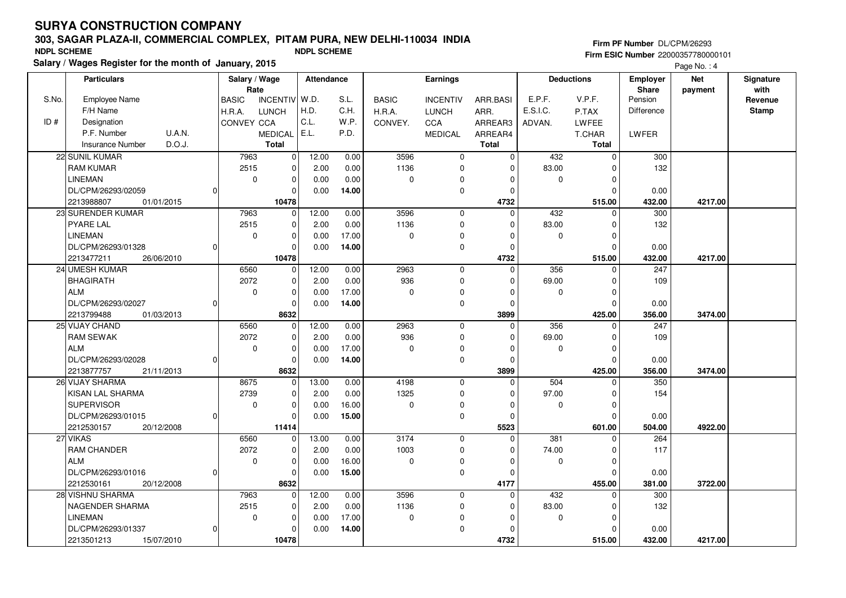# **303, SAGAR PLAZA-II, COMMERCIAL COMPLEX, PITAM PURA, NEW DELHI-110034 INDIASalary / Wages Register for the month of January, 2015 NDPL SCHEME NDPL SCHEME**

**Firm PF Number** DL/CPM/26293 **Firm ESIC Number** 22000357780000101

Page No.: 4

|       | <b>Particulars</b>                | Salary / Wage                   |             | <b>Attendance</b> |       | <b>Earnings</b> |                 |             | <b>Deductions</b> |              | <b>Employer</b>         | <b>Net</b> | Signature    |
|-------|-----------------------------------|---------------------------------|-------------|-------------------|-------|-----------------|-----------------|-------------|-------------------|--------------|-------------------------|------------|--------------|
| S.No. |                                   | Rate                            |             | W.D.              |       |                 |                 |             | E.P.F.            | V.P.F.       | <b>Share</b><br>Pension | payment    | with         |
|       | Employee Name                     | <b>INCENTIV</b><br><b>BASIC</b> |             |                   | S.L.  | <b>BASIC</b>    | <b>INCENTIV</b> | ARR.BASI    |                   |              |                         |            | Revenue      |
|       | F/H Name                          | H.R.A.<br><b>LUNCH</b>          |             | H.D.              | C.H.  | H.R.A.          | <b>LUNCH</b>    | ARR.        | E.S.I.C.          | P.TAX        | Difference              |            | <b>Stamp</b> |
| ID#   | Designation                       | CONVEY CCA                      |             | C.L.              | W.P.  | CONVEY.         | CCA             | ARREAR3     | ADVAN.            | LWFEE        |                         |            |              |
|       | P.F. Number<br>U.A.N.             | MEDICAL   E.L.                  |             |                   | P.D.  |                 | <b>MEDICAL</b>  | ARREAR4     |                   | T.CHAR       | LWFER                   |            |              |
|       | D.O.J.<br><b>Insurance Number</b> | <b>Total</b>                    |             |                   |       |                 |                 | Total       |                   | <b>Total</b> |                         |            |              |
|       | 22 SUNIL KUMAR                    | 7963                            | 0           | 12.00             | 0.00  | 3596            | $\mathbf 0$     | $\mathbf 0$ | 432               | $\mathbf 0$  | 300                     |            |              |
|       | <b>RAM KUMAR</b>                  | 2515                            | 0           | 2.00              | 0.00  | 1136            | 0               | $\Omega$    | 83.00             | $\Omega$     | 132                     |            |              |
|       | <b>LINEMAN</b>                    | $\mathbf 0$                     | 0           | 0.00              | 0.00  | $\mathbf 0$     | 0               | 0           | $\mathbf 0$       | $\mathbf 0$  |                         |            |              |
|       | DL/CPM/26293/02059<br>$\Omega$    |                                 | $\Omega$    | 0.00              | 14.00 |                 | 0               | $\Omega$    |                   | $\Omega$     | 0.00                    |            |              |
|       | 2213988807<br>01/01/2015          |                                 | 10478       |                   |       |                 |                 | 4732        |                   | 515.00       | 432.00                  | 4217.00    |              |
|       | 23 SURENDER KUMAR                 | 7963                            | $\Omega$    | 12.00             | 0.00  | 3596            | $\mathbf 0$     | $\Omega$    | 432               | $\mathbf 0$  | 300                     |            |              |
|       | <b>PYARE LAL</b>                  | 2515                            | $\mathbf 0$ | 2.00              | 0.00  | 1136            | $\mathbf 0$     | $\Omega$    | 83.00             | $\Omega$     | 132                     |            |              |
|       | <b>LINEMAN</b>                    | $\mathbf 0$                     | 0           | 0.00              | 17.00 | $\mathbf 0$     | $\Omega$        | $\Omega$    | $\mathbf 0$       | $\mathbf 0$  |                         |            |              |
|       | DL/CPM/26293/01328<br>$\Omega$    |                                 | $\Omega$    | 0.00              | 14.00 |                 | $\mathbf 0$     | $\Omega$    |                   | $\Omega$     | 0.00                    |            |              |
|       | 2213477211<br>26/06/2010          |                                 | 10478       |                   |       |                 |                 | 4732        |                   | 515.00       | 432.00                  | 4217.00    |              |
|       | 24 UMESH KUMAR                    | 6560                            | 0           | 12.00             | 0.00  | 2963            | 0               | $\Omega$    | 356               | 0            | 247                     |            |              |
|       | <b>BHAGIRATH</b>                  | 2072                            | 0           | 2.00              | 0.00  | 936             | 0               | 0           | 69.00             | $\mathbf 0$  | 109                     |            |              |
|       | <b>ALM</b>                        | $\mathbf 0$                     | 0           | 0.00              | 17.00 | $\mathbf 0$     | 0               | $\Omega$    | $\mathbf 0$       | $\mathbf 0$  |                         |            |              |
|       | DL/CPM/26293/02027<br>$\Omega$    |                                 | $\Omega$    | 0.00              | 14.00 |                 | 0               | $\Omega$    |                   | $\Omega$     | 0.00                    |            |              |
|       | 2213799488<br>01/03/2013          |                                 | 8632        |                   |       |                 |                 | 3899        |                   | 425.00       | 356.00                  | 3474.00    |              |
|       | 25 VIJAY CHAND                    | 6560                            | $\mathbf 0$ | 12.00             | 0.00  | 2963            | $\mathbf 0$     | $\Omega$    | 356               | $\mathbf 0$  | 247                     |            |              |
|       | <b>RAM SEWAK</b>                  | 2072                            | 0           | 2.00              | 0.00  | 936             | $\mathbf 0$     | $\Omega$    | 69.00             | $\Omega$     | 109                     |            |              |
|       | <b>ALM</b>                        | $\mathbf 0$                     | 0           | 0.00              | 17.00 | $\mathbf 0$     | 0               | $\Omega$    | 0                 | $\Omega$     |                         |            |              |
|       | DL/CPM/26293/02028<br>$\Omega$    |                                 | $\Omega$    | 0.00              | 14.00 |                 | $\mathbf 0$     | $\Omega$    |                   | $\mathbf 0$  | 0.00                    |            |              |
|       | 2213877757<br>21/11/2013          |                                 | 8632        |                   |       |                 |                 | 3899        |                   | 425.00       | 356.00                  | 3474.00    |              |
|       | 26 VIJAY SHARMA                   | 8675                            | $\mathbf 0$ | 13.00             | 0.00  | 4198            | $\mathbf 0$     | $\mathbf 0$ | 504               | 0            | 350                     |            |              |
|       | KISAN LAL SHARMA                  | 2739                            | 0           | 2.00              | 0.00  | 1325            | 0               | $\Omega$    | 97.00             | $\Omega$     | 154                     |            |              |
|       | <b>SUPERVISOR</b>                 | $\mathbf 0$                     | 0           | 0.00              | 16.00 | $\Omega$        | 0               | $\Omega$    | $\mathbf 0$       | $\mathbf 0$  |                         |            |              |
|       | DL/CPM/26293/01015<br>$\Omega$    |                                 | 0           | 0.00              | 15.00 |                 | 0               | $\Omega$    |                   | $\Omega$     | 0.00                    |            |              |
|       | 2212530157<br>20/12/2008          |                                 | 11414       |                   |       |                 |                 | 5523        |                   | 601.00       | 504.00                  | 4922.00    |              |
|       | 27 VIKAS                          | 6560                            | 0           | 13.00             | 0.00  | 3174            | 0               | $\Omega$    | 381               | $\Omega$     | 264                     |            |              |
|       | RAM CHANDER                       | 2072                            | 0           | 2.00              | 0.00  | 1003            | 0               | $\Omega$    | 74.00             | $\Omega$     | 117                     |            |              |
|       | <b>ALM</b>                        | $\mathbf 0$                     | $\Omega$    | 0.00              | 16.00 | $\mathbf 0$     | 0               | $\Omega$    | $\mathbf 0$       | $\Omega$     |                         |            |              |
|       | DL/CPM/26293/01016<br>$\cap$      |                                 | $\mathbf 0$ | 0.00              | 15.00 |                 | 0               | $\Omega$    |                   | $\Omega$     | 0.00                    |            |              |
|       | 2212530161<br>20/12/2008          |                                 | 8632        |                   |       |                 |                 | 4177        |                   | 455.00       | 381.00                  | 3722.00    |              |
|       | 28 VISHNU SHARMA                  | 7963                            | 0           | 12.00             | 0.00  | 3596            | 0               | $\mathbf 0$ | 432               | $\Omega$     | 300                     |            |              |
|       | NAGENDER SHARMA                   | 2515                            | 0           | 2.00              | 0.00  | 1136            | $\mathbf 0$     | $\Omega$    | 83.00             | $\Omega$     | 132                     |            |              |
|       | <b>LINEMAN</b>                    | $\mathbf 0$                     | 0           | 0.00              | 17.00 | $\mathbf 0$     | 0               | $\Omega$    | $\mathbf 0$       | $\Omega$     |                         |            |              |
|       | DL/CPM/26293/01337<br>O           |                                 | 0           | 0.00              | 14.00 |                 | 0               | $\Omega$    |                   | 0            | 0.00                    |            |              |
|       | 2213501213<br>15/07/2010          |                                 | 10478       |                   |       |                 |                 | 4732        |                   | 515.00       | 432.00                  | 4217.00    |              |